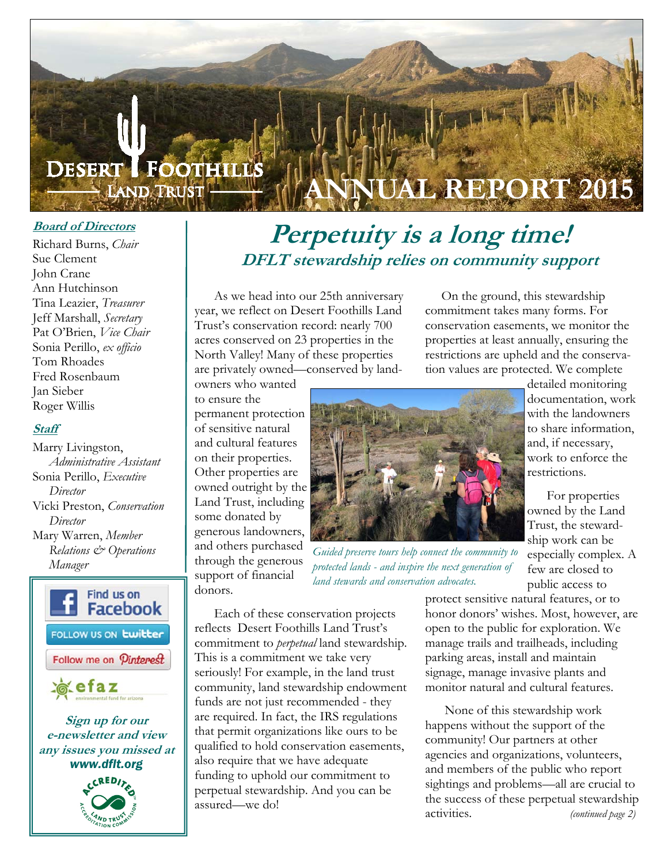

#### **Board of Directors**

Richard Burns, *Chair*  Sue Clement John Crane Ann Hutchinson Tina Leazier, *Treasurer*  Jeff Marshall, *Secretary* Pat O'Brien, *Vice Chair*  Sonia Perillo, *ex officio*  Tom Rhoades Fred Rosenbaum Jan Sieber Roger Willis

#### **Staff**

Marry Livingston, *Administrative Assistant*  Sonia Perillo, *Executive Director* Vicki Preston, *Conservation Director*  Mary Warren, *Member Relations & Operations Manager*





## **Perpetuity is a long time! DFLT stewardship relies on community support**

 As we head into our 25th anniversary year, we reflect on Desert Foothills Land Trust's conservation record: nearly 700 acres conserved on 23 properties in the North Valley! Many of these properties are privately owned—conserved by land-

 On the ground, this stewardship commitment takes many forms. For conservation easements, we monitor the properties at least annually, ensuring the restrictions are upheld and the conservation values are protected. We complete

owners who wanted to ensure the permanent protection of sensitive natural and cultural features on their properties. Other properties are owned outright by the Land Trust, including some donated by generous landowners, and others purchased through the generous support of financial donors.



*Guided preserve tours help connect the community to protected lands - and inspire the next generation of land stewards and conservation advocates.* 

public access to protect sensitive natural features, or to honor donors' wishes. Most, however, are open to the public for exploration. We manage trails and trailheads, including parking areas, install and maintain signage, manage invasive plants and monitor natural and cultural features.

 None of this stewardship work happens without the support of the community! Our partners at other agencies and organizations, volunteers, and members of the public who report sightings and problems—all are crucial to the success of these perpetual stewardship activities. *(continued page 2)* 

detailed monitoring documentation, work with the landowners to share information, and, if necessary, work to enforce the restrictions.

 For properties owned by the Land Trust, the stewardship work can be especially complex. A few are closed to

reflects Desert Foothills Land Trust's commitment to *perpetual* land stewardship. This is a commitment we take very seriously! For example, in the land trust community, land stewardship endowment funds are not just recommended - they are required. In fact, the IRS regulations that permit organizations like ours to be qualified to hold conservation easements, also require that we have adequate funding to uphold our commitment to perpetual stewardship. And you can be assured—we do!

Each of these conservation projects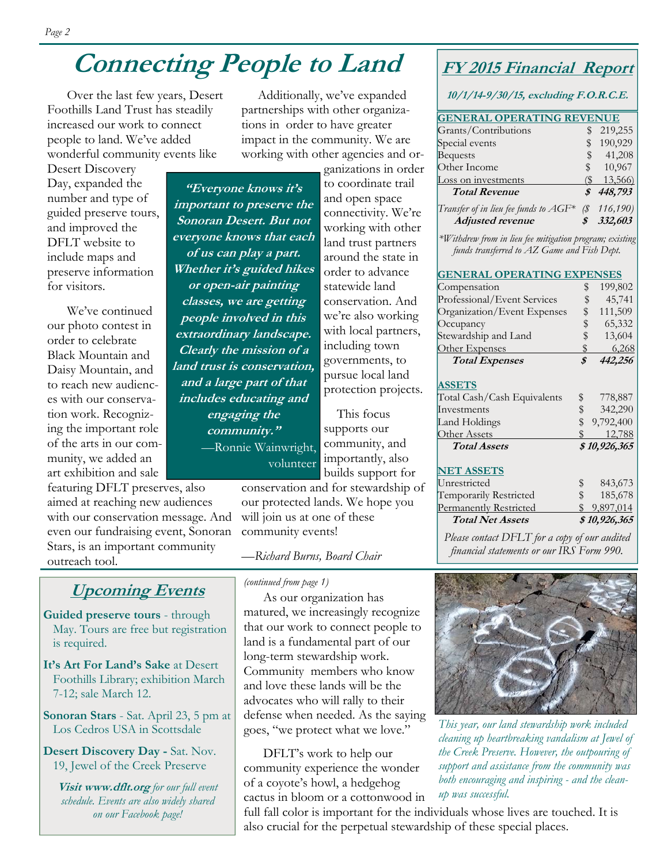## **Connecting People to Land**

 Over the last few years, Desert Foothills Land Trust has steadily increased our work to connect people to land. We've added wonderful community events like

Desert Discovery Day, expanded the number and type of guided preserve tours, and improved the DFLT website to include maps and preserve information for visitors.

 We've continued our photo contest in order to celebrate Black Mountain and Daisy Mountain, and to reach new audiences with our conservation work. Recognizing the important role of the arts in our community, we added an art exhibition and sale

featuring DFLT preserves, also aimed at reaching new audiences with our conservation message. And even our fundraising event, Sonoran Stars, is an important community outreach tool.

## **Upcoming Events**

**Guided preserve tours** - through May. Tours are free but registration is required.

**It's Art For Land's Sake** at Desert Foothills Library; exhibition March 7-12; sale March 12.

**Sonoran Stars** - Sat. April 23, 5 pm at Los Cedros USA in Scottsdale

**Desert Discovery Day -** Sat. Nov. 19, Jewel of the Creek Preserve

**Visit www.dflt.org** *for our full event schedule. Events are also widely shared on our Facebook page!* 

 Additionally, we've expanded partnerships with other organizations in order to have greater impact in the community. We are working with other agencies and or-

**"Everyone knows it's important to preserve the Sonoran Desert. But not everyone knows that each of us can play a part. Whether it's guided hikes or open-air painting classes, we are getting people involved in this extraordinary landscape. Clearly the mission of a land trust is conservation, and a large part of that includes educating and engaging the community."**  *—*Ronnie Wainwright, volunteer

ganizations in order to coordinate trail and open space connectivity. We're working with other land trust partners around the state in order to advance statewide land conservation. And we're also working with local partners, including town governments, to pursue local land protection projects.

 This focus supports our community, and importantly, also builds support for

conservation and for stewardship of our protected lands. We hope you will join us at one of these community events!

—*Richard Burns, Board Chair* 

*(continued from page 1)*

 As our organization has matured, we increasingly recognize that our work to connect people to land is a fundamental part of our long-term stewardship work. Community members who know and love these lands will be the advocates who will rally to their defense when needed. As the saying goes, "we protect what we love."

 DFLT's work to help our community experience the wonder of a coyote's howl, a hedgehog cactus in bloom or a cottonwood in **FY 2015 Financial Report** 

**10/1/14-9/30/15, excluding F.O.R.C.E.** 

| <b>GENERAL OPERATING REVENUE</b>         |            |          |  |
|------------------------------------------|------------|----------|--|
| Grants/Contributions                     |            | 219,255  |  |
| Special events                           | S          | 190,929  |  |
| <b>Bequests</b>                          | $^{\circ}$ | 41,208   |  |
| Other Income                             | \$         | 10,967   |  |
| Loss on investments                      | (S         | 13,566)  |  |
| <b>Total Revenue</b>                     | \$         | 448,793  |  |
| Transfer of in lieu fee funds to $AGF^*$ | (\$        | 116,190) |  |
| <b>Adjusted revenue</b>                  |            | 332,603  |  |

*\*Withdrew from in lieu fee mitigation program; existing funds transferred to AZ Game and Fish Dept.* 

#### **GENERAL OPERATING EXPENSES**

| Compensation                  | \$<br>199,802   |
|-------------------------------|-----------------|
| Professional/Event Services   | \$<br>45,741    |
| Organization/Event Expenses   | \$<br>111,509   |
| Occupancy                     | \$<br>65,332    |
| Stewardship and Land          | \$<br>13,604    |
| Other Expenses                | \$<br>6,268     |
| <b>Total Expenses</b>         | \$<br>442,256   |
|                               |                 |
| <b>ASSETS</b>                 |                 |
| Total Cash/Cash Equivalents   | \$<br>778,887   |
| Investments                   | \$<br>342,290   |
| Land Holdings                 | \$<br>9,792,400 |
| Other Assets                  | 12,788          |
| <b>Total Assets</b>           | \$10,926,365    |
| <b>NET ASSETS</b>             |                 |
| Unrestricted                  | 843,673         |
| Temporarily Restricted        | \$<br>185,678   |
| <b>Permanently Restricted</b> | \$9,897,014     |
| <b>Total Net Assets</b>       | \$10,926,365    |

*Please contact DFLT for a copy of our audited financial statements or our IRS Form 990.* 



*This year, our land stewardship work included cleaning up heartbreaking vandalism at Jewel of the Creek Preserve. However, the outpouring of support and assistance from the community was both encouraging and inspiring - and the cleanup was successful.* 

full fall color is important for the individuals whose lives are touched. It is also crucial for the perpetual stewardship of these special places.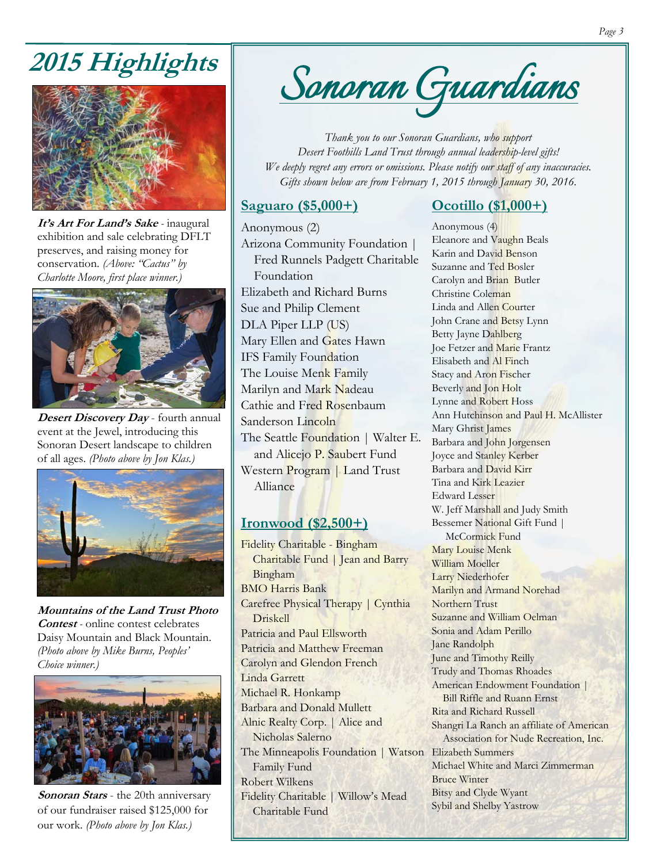# **2015 Highlights**



**It's Art For Land's Sake** *-* inaugural exhibition and sale celebrating DFLT preserves, and raising money for conservation. *(Above: "Cactus" by Charlotte Moore, first place winner.)* 



**Desert Discovery Day** - fourth annual event at the Jewel, introducing this Sonoran Desert landscape to children of all ages. *(Photo above by Jon Klas.)*



**Mountains of the Land Trust Photo Contest** *-* online contest celebrates Daisy Mountain and Black Mountain. *(Photo above by Mike Burns, Peoples' Choice winner.)*



**Sonoran Stars** - the 20th anniversary of our fundraiser raised \$125,000 for our work. *(Photo above by Jon Klas.)*



*Thank you to our Sonoran Guardians, who support Desert Foothills Land Trust through annual leadership-level gifts! We deeply regret any errors or omissions. Please notify our staff of any inaccuracies. Gifts shown below are from February 1, 2015 through January 30, 2016.* 

#### **Saguaro (\$5,000+)**

### **Ocotillo (\$1,000+)**

Anonymous (2) Arizona Community Foundation | Fred Runnels Padgett Charitable Foundation Elizabeth and Richard Burns Sue and Philip Clement DLA Piper LLP (US) Mary Ellen and Gates Hawn IFS Family Foundation The Louise Menk Family Marilyn and Mark Nadeau Cathie and Fred Rosenbaum Sanderson Lincoln The Seattle Foundation | Walter E. and Alicejo P. Saubert Fund Western Program | Land Trust Alliance

### **Ironwood (\$2,500+)**

Fidelity Charitable - Bingham Charitable Fund | Jean and Barry Bingham BMO Harris Bank Carefree Physical Therapy | Cynthia Driskell Patricia and Paul Ellsworth Patricia and Matthew Freeman Carolyn and Glendon French Linda Garrett Michael R. Honkamp Barbara and Donald Mullett Alnic Realty Corp. | Alice and Nicholas Salerno The Minneapolis Foundation | Watson Elizabeth Summers Family Fund Robert Wilkens Fidelity Charitable | Willow's Mead Charitable Fund

Anonymous (4) Eleanore and Vaughn Beals Karin and David Benson Suzanne and Ted Bosler Carolyn and Brian Butler Christine Coleman Linda and Allen Courter John Crane and Betsy Lynn Betty Jayne Dahlberg Joe Fetzer and Marie Frantz Elisabeth and Al Finch Stacy and Aron Fischer Beverly and Jon Holt Lynne and Robert Hoss Ann Hutchinson and Paul H. McAllister Mary Ghrist James Barbara and John Jorgensen Joyce and Stanley Kerber Barbara and David Kirr Tina and Kirk Leazier Edward Lesser W. Jeff Marshall and Judy Smith Bessemer National Gift Fund | McCormick Fund Mary Louise Menk William Moeller Larry Niederhofer Marilyn and Armand Norehad Northern Trust Suzanne and William Oelman Sonia and Adam Perillo Jane Randolph June and Timothy Reilly Trudy and Thomas Rhoades American Endowment Foundation | Bill Riffle and Ruann Ernst Rita and Richard Russell Shangri La Ranch an affiliate of American Association for Nude Recreation, Inc. Michael White and Marci Zimmerman Bruce Winter Bitsy and Clyde Wyant Sybil and Shelby Yastrow